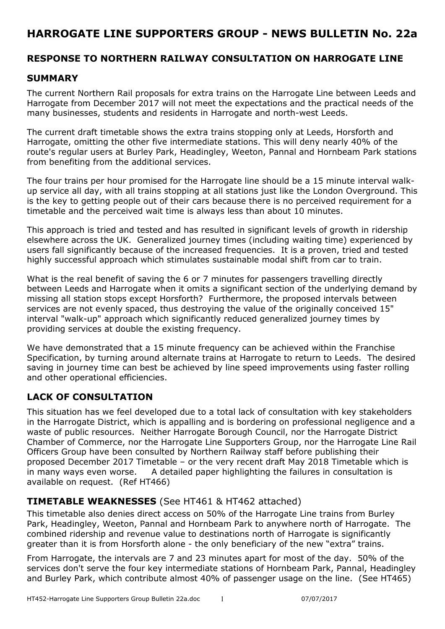## **HARROGATE LINE SUPPORTERS GROUP - NEWS BULLETIN No. 22a**

### **RESPONSE TO NORTHERN RAILWAY CONSULTATION ON HARROGATE LINE**

#### **SUMMARY**

The current Northern Rail proposals for extra trains on the Harrogate Line between Leeds and Harrogate from December 2017 will not meet the expectations and the practical needs of the many businesses, students and residents in Harrogate and north-west Leeds.

The current draft timetable shows the extra trains stopping only at Leeds, Horsforth and Harrogate, omitting the other five intermediate stations. This will deny nearly 40% of the route's regular users at Burley Park, Headingley, Weeton, Pannal and Hornbeam Park stations from benefiting from the additional services.

The four trains per hour promised for the Harrogate line should be a 15 minute interval walkup service all day, with all trains stopping at all stations just like the London Overground. This is the key to getting people out of their cars because there is no perceived requirement for a timetable and the perceived wait time is always less than about 10 minutes.

This approach is tried and tested and has resulted in significant levels of growth in ridership elsewhere across the UK. Generalized journey times (including waiting time) experienced by users fall significantly because of the increased frequencies. It is a proven, tried and tested highly successful approach which stimulates sustainable modal shift from car to train.

What is the real benefit of saving the 6 or 7 minutes for passengers travelling directly between Leeds and Harrogate when it omits a significant section of the underlying demand by missing all station stops except Horsforth? Furthermore, the proposed intervals between services are not evenly spaced, thus destroying the value of the originally conceived 15" interval "walk-up" approach which significantly reduced generalized journey times by providing services at double the existing frequency.

We have demonstrated that a 15 minute frequency can be achieved within the Franchise Specification, by turning around alternate trains at Harrogate to return to Leeds. The desired saving in journey time can best be achieved by line speed improvements using faster rolling and other operational efficiencies.

## **LACK OF CONSULTATION**

This situation has we feel developed due to a total lack of consultation with key stakeholders in the Harrogate District, which is appalling and is bordering on professional negligence and a waste of public resources. Neither Harrogate Borough Council, nor the Harrogate District Chamber of Commerce, nor the Harrogate Line Supporters Group, nor the Harrogate Line Rail Officers Group have been consulted by Northern Railway staff before publishing their proposed December 2017 Timetable – or the very recent draft May 2018 Timetable which is in many ways even worse. A detailed paper highlighting the failures in consultation is available on request. (Ref HT466)

## **TIMETABLE WEAKNESSES** (See HT461 & HT462 attached)

This timetable also denies direct access on 50% of the Harrogate Line trains from Burley Park, Headingley, Weeton, Pannal and Hornbeam Park to anywhere north of Harrogate. The combined ridership and revenue value to destinations north of Harrogate is significantly greater than it is from Horsforth alone - the only beneficiary of the new "extra" trains.

From Harrogate, the intervals are 7 and 23 minutes apart for most of the day. 50% of the services don't serve the four key intermediate stations of Hornbeam Park, Pannal, Headingley and Burley Park, which contribute almost 40% of passenger usage on the line. (See HT465)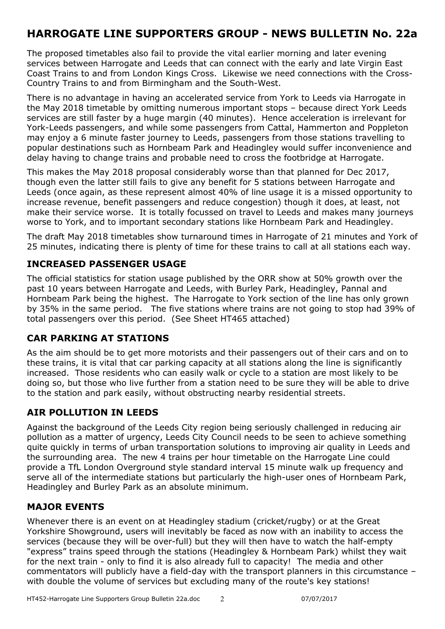# **HARROGATE LINE SUPPORTERS GROUP - NEWS BULLETIN No. 22a**

The proposed timetables also fail to provide the vital earlier morning and later evening services between Harrogate and Leeds that can connect with the early and late Virgin East Coast Trains to and from London Kings Cross. Likewise we need connections with the Cross-Country Trains to and from Birmingham and the South-West.

There is no advantage in having an accelerated service from York to Leeds via Harrogate in the May 2018 timetable by omitting numerous important stops – because direct York Leeds services are still faster by a huge margin (40 minutes). Hence acceleration is irrelevant for York-Leeds passengers, and while some passengers from Cattal, Hammerton and Poppleton may enjoy a 6 minute faster journey to Leeds, passengers from those stations travelling to popular destinations such as Hornbeam Park and Headingley would suffer inconvenience and delay having to change trains and probable need to cross the footbridge at Harrogate.

This makes the May 2018 proposal considerably worse than that planned for Dec 2017, though even the latter still fails to give any benefit for 5 stations between Harrogate and Leeds (once again, as these represent almost 40% of line usage it is a missed opportunity to increase revenue, benefit passengers and reduce congestion) though it does, at least, not make their service worse. It is totally focussed on travel to Leeds and makes many journeys worse to York, and to important secondary stations like Hornbeam Park and Headingley.

The draft May 2018 timetables show turnaround times in Harrogate of 21 minutes and York of 25 minutes, indicating there is plenty of time for these trains to call at all stations each way.

### **INCREASED PASSENGER USAGE**

The official statistics for station usage published by the ORR show at 50% growth over the past 10 years between Harrogate and Leeds, with Burley Park, Headingley, Pannal and Hornbeam Park being the highest. The Harrogate to York section of the line has only grown by 35% in the same period. The five stations where trains are not going to stop had 39% of total passengers over this period. (See Sheet HT465 attached)

## **CAR PARKING AT STATIONS**

As the aim should be to get more motorists and their passengers out of their cars and on to these trains, it is vital that car parking capacity at all stations along the line is significantly increased. Those residents who can easily walk or cycle to a station are most likely to be doing so, but those who live further from a station need to be sure they will be able to drive to the station and park easily, without obstructing nearby residential streets.

## **AIR POLLUTION IN LEEDS**

Against the background of the Leeds City region being seriously challenged in reducing air pollution as a matter of urgency, Leeds City Council needs to be seen to achieve something quite quickly in terms of urban transportation solutions to improving air quality in Leeds and the surrounding area. The new 4 trains per hour timetable on the Harrogate Line could provide a TfL London Overground style standard interval 15 minute walk up frequency and serve all of the intermediate stations but particularly the high-user ones of Hornbeam Park, Headingley and Burley Park as an absolute minimum.

#### **MAJOR EVENTS**

Whenever there is an event on at Headingley stadium (cricket/rugby) or at the Great Yorkshire Showground, users will inevitably be faced as now with an inability to access the services (because they will be over-full) but they will then have to watch the half-empty "express" trains speed through the stations (Headingley & Hornbeam Park) whilst they wait for the next train - only to find it is also already full to capacity! The media and other commentators will publicly have a field-day with the transport planners in this circumstance – with double the volume of services but excluding many of the route's key stations!